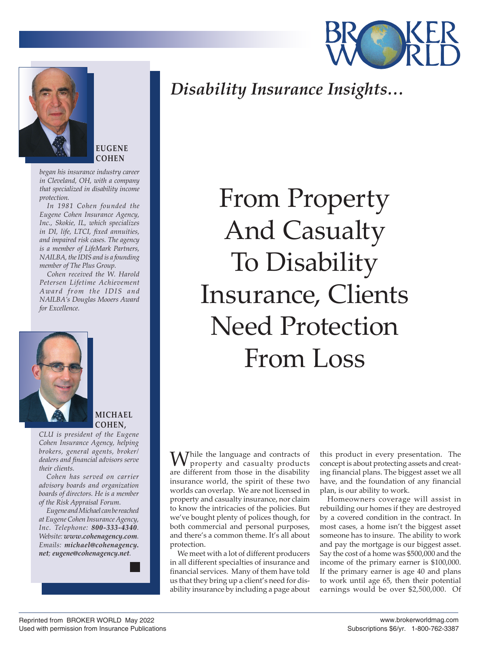



**EUGENE COHEN**

*began his insurance industry career in Cleveland, OH, with a company that specialized in disability income protection.*

*In 1981 Cohen founded the Eugene Cohen Insurance Agency, Inc., Skokie, IL, which specializes in DI, life, LTCI, fixed annuities, and impaired risk cases. The agency is a member of LifeMark Partners, NAILBA, the IDIS and is a founding member of The Plus Group.*

*Cohen received the W. Harold Petersen Lifetime Achievement Award from the IDIS and NAILBA's Douglas Mooers Award for Excellence.*



**MICHAEL COHEN,**

*CLU is president of the Eugene Cohen Insurance Agency, helping brokers, general agents, broker/ dealers and financial advisors serve their clients.*

*Cohen has served on carrier advisory boards and organization boards of directors. He is a member of the Risk Appraisal Forum.*

*Eugene and Michael can be reached at Eugene Cohen Insurance Agency, Inc. Telephone: 800-333-4340. Website: www.cohenagency.com. Emails: michael@cohenagency. net; eugene@cohenagency.net.*

*Disability Insurance Insights…*

From Property And Casualty To Disability Insurance, Clients Need Protection From Loss

While the language and contracts of property and casualty products are different from those in the disability insurance world, the spirit of these two worlds can overlap. We are not licensed in property and casualty insurance, nor claim to know the intricacies of the policies. But we've bought plenty of polices though, for both commercial and personal purposes, and there's a common theme. It's all about protection.

We meet with a lot of different producers in all different specialties of insurance and financial services. Many of them have told us that they bring up a client's need for disability insurance by including a page about

this product in every presentation. The concept is about protecting assets and creating financial plans. The biggest asset we all have, and the foundation of any financial plan, is our ability to work.

Homeowners coverage will assist in rebuilding our homes if they are destroyed by a covered condition in the contract. In most cases, a home isn't the biggest asset someone has to insure. The ability to work and pay the mortgage is our biggest asset. Say the cost of a home was \$500,000 and the income of the primary earner is \$100,000. If the primary earner is age 40 and plans to work until age 65, then their potential earnings would be over \$2,500,000. Of